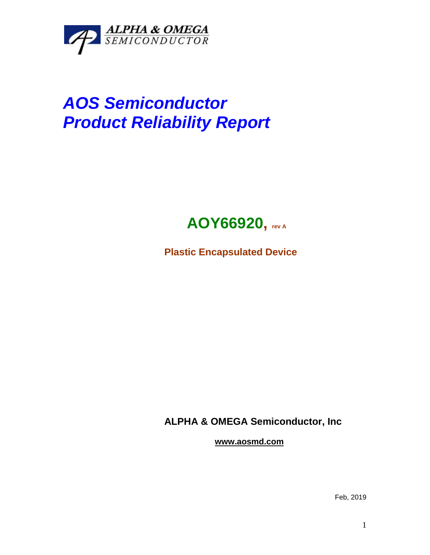

## *AOS Semiconductor Product Reliability Report*



**Plastic Encapsulated Device**

**ALPHA & OMEGA Semiconductor, Inc**

**www.aosmd.com**

Feb, 2019